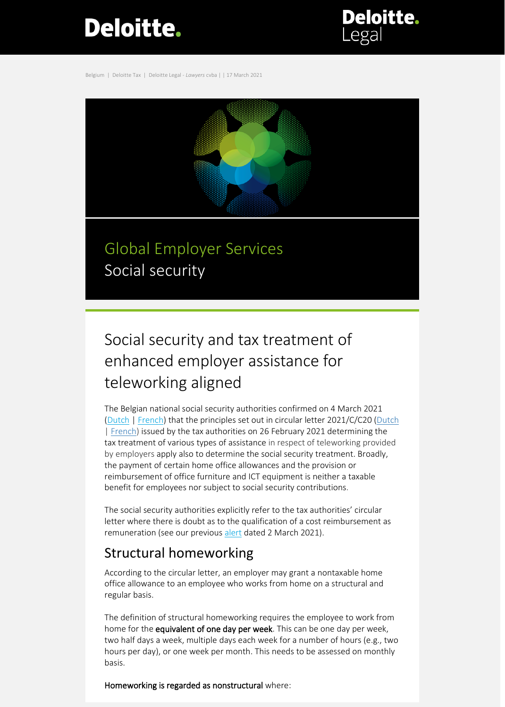# Deloitte.

**Deloitte.** 

Belgium | Deloitte Tax | Deloitte Legal - *Lawyers* cvba | | 17 March 2021



Global Employer Services Social security

## Social security and tax treatment of enhanced employer assistance for teleworking aligned

The Belgian national social security authorities confirmed on 4 March 2021 [\(Dutch](https://www.socialsecurity.be/employer/instructions/dmfa/nl/latest/intermediates) | [French\)](https://www.socialsecurity.be/employer/instructions/dmfa/fr/latest/intermediates) that the principles set out in circular letter 2021/C/C20 [\(Dutch](https://www2.deloitte.com/content/dam/Deloitte/be/Documents/tax/TaxAlerts/IndividualTaxAlerts/Circulaire%202021_C_20%20over%20tussenkomsten%20van%20de%20werkgever%20voor%20thuiswerk.pdf) | [French\)](https://www2.deloitte.com/content/dam/Deloitte/be/Documents/tax/TaxAlerts/IndividualTaxAlerts/Circulaire%202021_C_20%20relative%20aux%20interventions%20de%20l%E2%80%99employeur%20pour%20le%20t%C3%A9l%C3%A9travail.pdf) issued by the tax authorities on 26 February 2021 determining the tax treatment of various types of assistance in respect of teleworking provided by employers apply also to determine the social security treatment. Broadly, the payment of certain home office allowances and the provision or reimbursement of office furniture and ICT equipment is neither a taxable benefit for employees nor subject to social security contributions.

The social security authorities explicitly refer to the tax authorities' circular letter where there is doubt as to the qualification of a cost reimbursement as remuneration (see our previous [alert](https://www2.deloitte.com/content/dam/Deloitte/be/Documents/tax/TaxAlerts/IndividualTaxAlerts/Individual%20tax%20alert-Circular%20Letter%20Home%20working2Mar21.pdf) dated 2 March 2021).

### Structural homeworking

According to the circular letter, an employer may grant a nontaxable home office allowance to an employee who works from home on a structural and regular basis.

The definition of structural homeworking requires the employee to work from home for the equivalent of one day per week. This can be one day per week, two half days a week, multiple days each week for a number of hours (e.g., two hours per day), or one week per month. This needs to be assessed on monthly basis.

Homeworking is regarded as nonstructural where: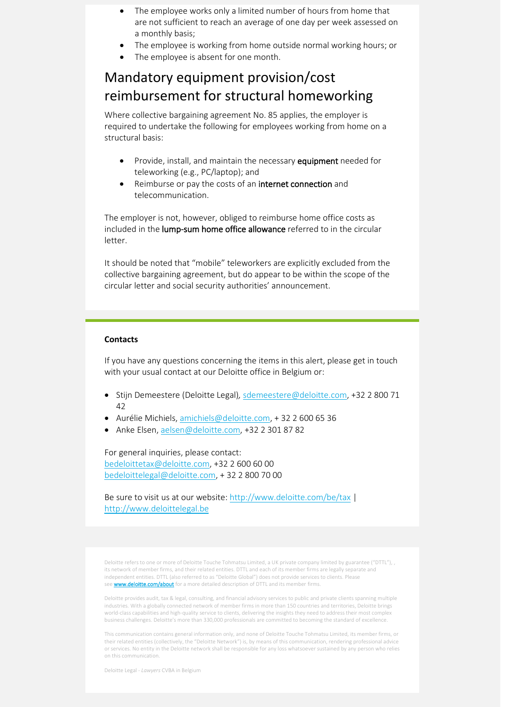- The employee works only a limited number of hours from home that are not sufficient to reach an average of one day per week assessed on a monthly basis;
- The employee is working from home outside normal working hours; or
- The employee is absent for one month.

### Mandatory equipment provision/cost reimbursement for structural homeworking

Where collective bargaining agreement No. 85 applies, the employer is required to undertake the following for employees working from home on a structural basis:

- Provide, install, and maintain the necessary equipment needed for teleworking (e.g., PC/laptop); and
- Reimburse or pay the costs of an internet connection and telecommunication.

The employer is not, however, obliged to reimburse home office costs as included in the lump-sum home office allowance referred to in the circular letter.

It should be noted that "mobile" teleworkers are explicitly excluded from the collective bargaining agreement, but do appear to be within the scope of the circular letter and social security authorities' announcement.

#### **Contacts**

If you have any questions concerning the items in this alert, please get in touch with your usual contact at our Deloitte office in Belgium or:

- Stijn Demeestere (Deloitte Legal)*,* [sdemeestere@deloitte.com,](mailto:sdemeestere@deloitte.com) +32 2 800 71 42
- Aurélie Michiels, [amichiels@deloitte.com,](mailto:amichiels@deloitte.com) + 32 2 600 65 36
- Anke Elsen, [aelsen@deloitte.com,](mailto:aelsen@deloitte.com) +32 2 301 87 82

For general inquiries, please contact: [bedeloittetax@deloitte.com,](mailto:bedeloittetax@deloitte.com) +32 2 600 60 00 [bedeloittelegal@deloitte.com,](mailto:bedeloittelegal@deloitte.com) + 32 2 800 70 00

Be sure to visit us at our website: <http://www.deloitte.com/be/tax> | [http://www.deloittelegal.be](http://www.deloittelegal.be/)

Deloitte refers to one or more of Deloitte Touche Tohmatsu Limited, a UK private company limited by guarantee ("DTTL"), , its network of member firms, and their related entities. DTTL and each of its member firms are legally separate and independent entities. DTTL (also referred to as "Deloitte Global") does not provide services to clients. Please see **[www.deloitte.com/about](http://www.deloitte.com/about)** for a more detailed description of DTTL and its member firms.

Deloitte provides audit, tax & legal, consulting, and financial advisory services to public and private clients spanning multiple industries. With a globally connected network of member firms in more than 150 countries and territories, Deloitte brings world-class capabilities and high-quality service to clients, delivering the insights they need to address their most complex business challenges. Deloitte's more than 330,000 professionals are committed to becoming the standard of excellence.

This communication contains general information only, and none of Deloitte Touche Tohmatsu Limited, its member firms, or their related entities (collectively, the "Deloitte Network") is, by means of this communication, rendering professional advice or services. No entity in the Deloitte network shall be responsible for any loss whatsoever sustained by any person who relies on this communication.

Deloitte Legal - *Lawyers* CVBA in Belgium